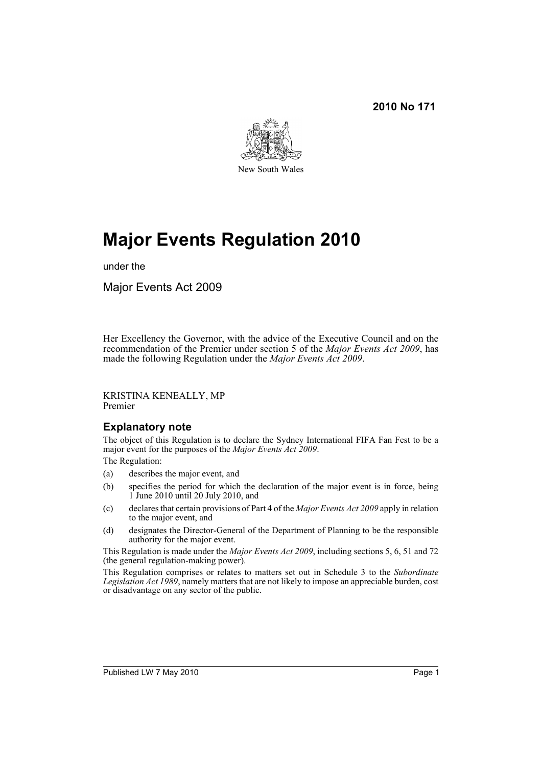#### **2010 No 171**



# **Major Events Regulation 2010**

under the

Major Events Act 2009

Her Excellency the Governor, with the advice of the Executive Council and on the recommendation of the Premier under section 5 of the *Major Events Act 2009*, has made the following Regulation under the *Major Events Act 2009*.

KRISTINA KENEALLY, MP Premier

#### **Explanatory note**

The object of this Regulation is to declare the Sydney International FIFA Fan Fest to be a major event for the purposes of the *Major Events Act 2009*.

The Regulation:

- (a) describes the major event, and
- (b) specifies the period for which the declaration of the major event is in force, being  $1$  June 2010 until 20 July 2010, and
- (c) declares that certain provisions of Part 4 of the *Major Events Act 2009* apply in relation to the major event, and
- (d) designates the Director-General of the Department of Planning to be the responsible authority for the major event.

This Regulation is made under the *Major Events Act 2009*, including sections 5, 6, 51 and 72 (the general regulation-making power).

This Regulation comprises or relates to matters set out in Schedule 3 to the *Subordinate Legislation Act 1989*, namely matters that are not likely to impose an appreciable burden, cost or disadvantage on any sector of the public.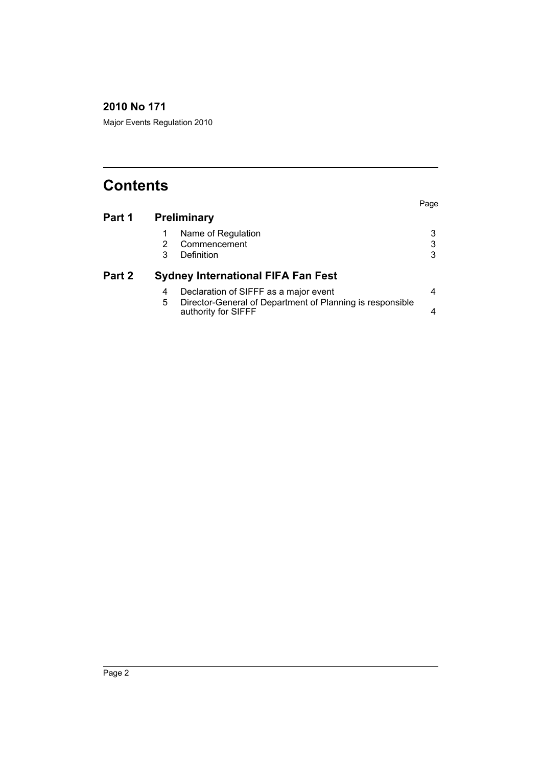### **2010 No 171**

Major Events Regulation 2010

## **Contents**

|        |                                           |                                                                                  | Page |
|--------|-------------------------------------------|----------------------------------------------------------------------------------|------|
| Part 1 | <b>Preliminary</b>                        |                                                                                  |      |
|        |                                           | Name of Regulation                                                               |      |
|        | 2                                         | Commencement                                                                     | 3    |
|        | 3                                         | Definition                                                                       | 3    |
| Part 2 | <b>Sydney International FIFA Fan Fest</b> |                                                                                  |      |
|        | 4                                         | Declaration of SIFFF as a major event                                            |      |
|        | 5.                                        | Director-General of Department of Planning is responsible<br>authority for SIFFF |      |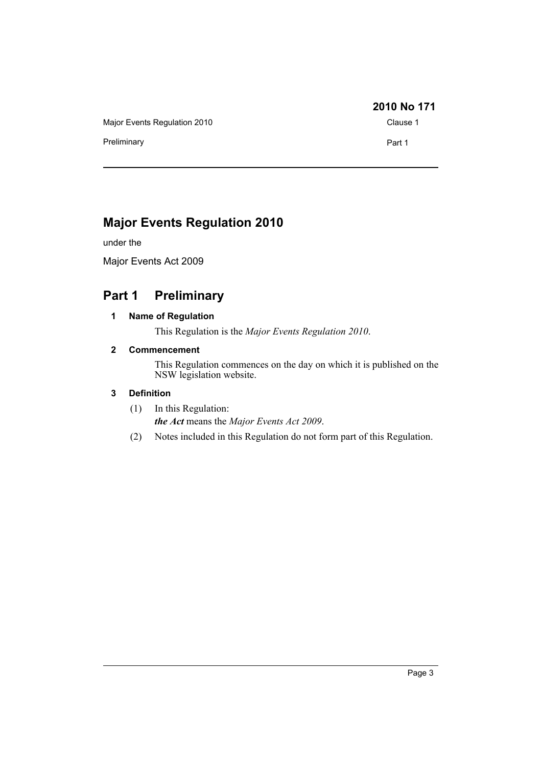Major Events Regulation 2010 Clause 1

Preliminary **Preliminary Part 1** 

#### **2010 No 171**

## **Major Events Regulation 2010**

under the

Major Events Act 2009

## <span id="page-2-1"></span><span id="page-2-0"></span>**Part 1 Preliminary**

#### **1 Name of Regulation**

This Regulation is the *Major Events Regulation 2010*.

#### <span id="page-2-2"></span>**2 Commencement**

This Regulation commences on the day on which it is published on the NSW legislation website.

#### <span id="page-2-3"></span>**3 Definition**

- (1) In this Regulation: *the Act* means the *Major Events Act 2009*.
- (2) Notes included in this Regulation do not form part of this Regulation.